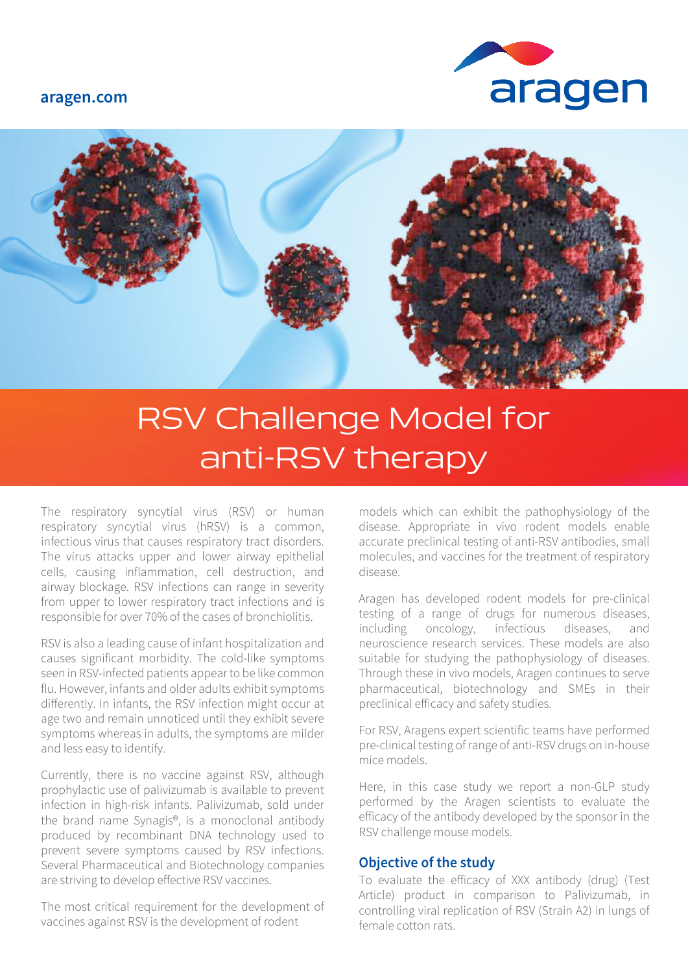#### **aragen.com**





# RSV Challenge Model for anti-RSV therapy

The respiratory syncytial virus (RSV) or human respiratory syncytial virus (hRSV) is a common, infectious virus that causes respiratory tract disorders. The virus attacks upper and lower airway epithelial cells, causing inflammation, cell destruction, and airway blockage. RSV infections can range in severity from upper to lower respiratory tract infections and is responsible for over 70% of the cases of bronchiolitis.

RSV is also a leading cause of infant hospitalization and causes significant morbidity. The cold-like symptoms seen in RSV-infected patients appear to be like common flu. However, infants and older adults exhibit symptoms differently. In infants, the RSV infection might occur at age two and remain unnoticed until they exhibit severe symptoms whereas in adults, the symptoms are milder and less easy to identify.

Currently, there is no vaccine against RSV, although prophylactic use of palivizumab is available to prevent infection in high-risk infants. Palivizumab, sold under the brand name Synagis®, is a monoclonal antibody produced by recombinant DNA technology used to prevent severe symptoms caused by RSV infections. Several Pharmaceutical and Biotechnology companies are striving to develop effective RSV vaccines.

The most critical requirement for the development of vaccines against RSV is the development of rodent

models which can exhibit the pathophysiology of the disease. Appropriate in vivo rodent models enable accurate preclinical testing of anti-RSV antibodies, small molecules, and vaccines for the treatment of respiratory disease.

Aragen has developed rodent models for pre-clinical testing of a range of drugs for numerous diseases, including oncology, infectious diseases, and neuroscience research services. These models are also suitable for studying the pathophysiology of diseases. Through these in vivo models, Aragen continues to serve pharmaceutical, biotechnology and SMEs in their preclinical efficacy and safety studies.

For RSV, Aragens expert scientific teams have performed pre-clinical testing of range of anti-RSV drugs on in-house mice models.

Here, in this case study we report a non-GLP study performed by the Aragen scientists to evaluate the efficacy of the antibody developed by the sponsor in the RSV challenge mouse models.

#### **Objective of the study**

To evaluate the efficacy of XXX antibody (drug) (Test Article) product in comparison to Palivizumab, in controlling viral replication of RSV (Strain A2) in lungs of female cotton rats.